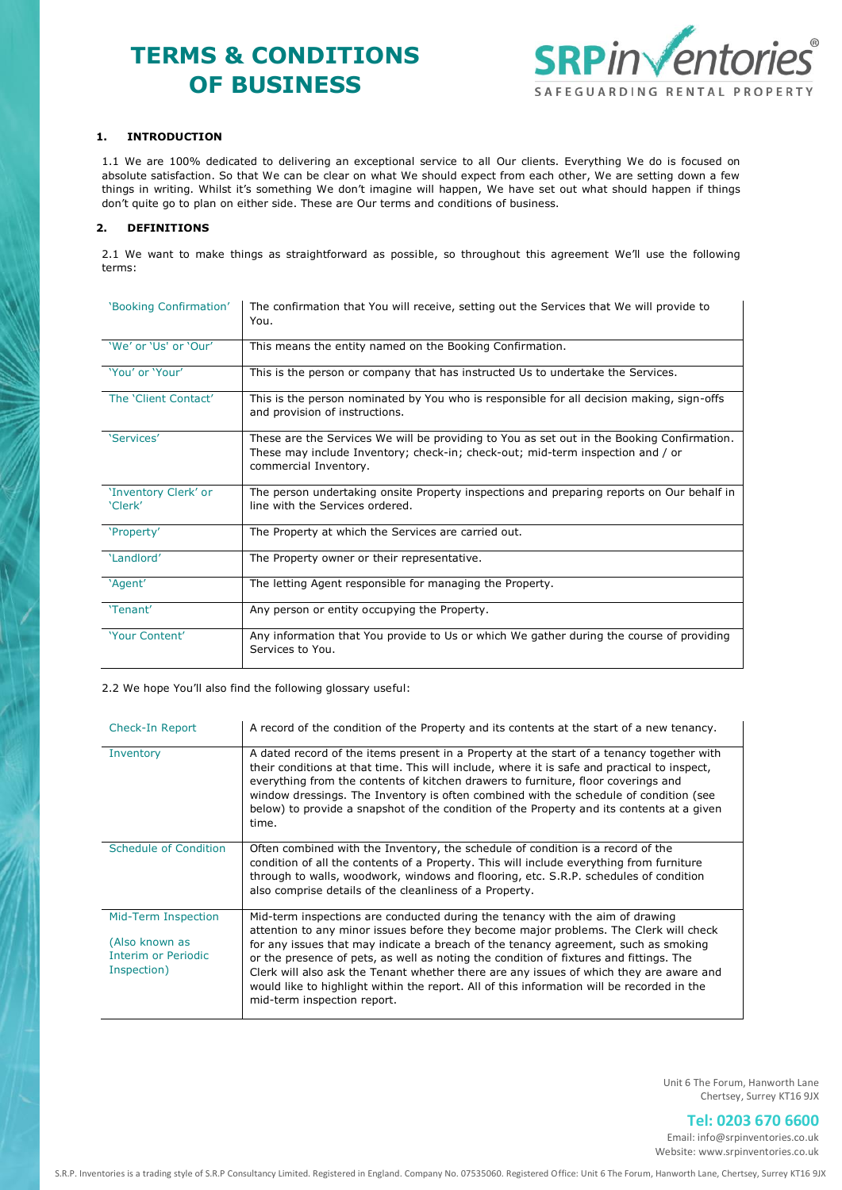# **TERMS & CONDITIONS OF BUSINESS**



# **1. INTRODUCTION**

1.1 We are 100% dedicated to delivering an exceptional service to all Our clients. Everything We do is focused on absolute satisfaction. So that We can be clear on what We should expect from each other, We are setting down a few things in writing. Whilst it's something We don't imagine will happen, We have set out what should happen if things don't quite go to plan on either side. These are Our terms and conditions of business.

# **2. DEFINITIONS**

2.1 We want to make things as straightforward as possible, so throughout this agreement We'll use the following terms:

| 'Booking Confirmation'          | The confirmation that You will receive, setting out the Services that We will provide to<br>You.                                                                                                      |  |
|---------------------------------|-------------------------------------------------------------------------------------------------------------------------------------------------------------------------------------------------------|--|
| 'We' or 'Us' or 'Our'           | This means the entity named on the Booking Confirmation.                                                                                                                                              |  |
| 'You' or 'Your'                 | This is the person or company that has instructed Us to undertake the Services.                                                                                                                       |  |
| The 'Client Contact'            | This is the person nominated by You who is responsible for all decision making, sign-offs<br>and provision of instructions.                                                                           |  |
| 'Services'                      | These are the Services We will be providing to You as set out in the Booking Confirmation.<br>These may include Inventory; check-in; check-out; mid-term inspection and / or<br>commercial Inventory. |  |
| 'Inventory Clerk' or<br>'Clerk' | The person undertaking onsite Property inspections and preparing reports on Our behalf in<br>line with the Services ordered.                                                                          |  |
| 'Property'                      | The Property at which the Services are carried out.                                                                                                                                                   |  |
| 'Landlord'                      | The Property owner or their representative.                                                                                                                                                           |  |
| 'Agent'                         | The letting Agent responsible for managing the Property.                                                                                                                                              |  |
| 'Tenant'                        | Any person or entity occupying the Property.                                                                                                                                                          |  |
| 'Your Content'                  | Any information that You provide to Us or which We gather during the course of providing<br>Services to You.                                                                                          |  |

2.2 We hope You'll also find the following glossary useful:

| Check-In Report                                                             | A record of the condition of the Property and its contents at the start of a new tenancy.                                                                                                                                                                                                                                                                                                                                                                                                                                                                                       |
|-----------------------------------------------------------------------------|---------------------------------------------------------------------------------------------------------------------------------------------------------------------------------------------------------------------------------------------------------------------------------------------------------------------------------------------------------------------------------------------------------------------------------------------------------------------------------------------------------------------------------------------------------------------------------|
| Inventory                                                                   | A dated record of the items present in a Property at the start of a tenancy together with<br>their conditions at that time. This will include, where it is safe and practical to inspect,<br>everything from the contents of kitchen drawers to furniture, floor coverings and<br>window dressings. The Inventory is often combined with the schedule of condition (see<br>below) to provide a snapshot of the condition of the Property and its contents at a given<br>time.                                                                                                   |
| Schedule of Condition                                                       | Often combined with the Inventory, the schedule of condition is a record of the<br>condition of all the contents of a Property. This will include everything from furniture<br>through to walls, woodwork, windows and flooring, etc. S.R.P. schedules of condition<br>also comprise details of the cleanliness of a Property.                                                                                                                                                                                                                                                  |
| Mid-Term Inspection<br>(Also known as<br>Interim or Periodic<br>Inspection) | Mid-term inspections are conducted during the tenancy with the aim of drawing<br>attention to any minor issues before they become major problems. The Clerk will check<br>for any issues that may indicate a breach of the tenancy agreement, such as smoking<br>or the presence of pets, as well as noting the condition of fixtures and fittings. The<br>Clerk will also ask the Tenant whether there are any issues of which they are aware and<br>would like to highlight within the report. All of this information will be recorded in the<br>mid-term inspection report. |

Unit 6 The Forum, Hanworth Lane Chertsey, Surrey KT16 9JX

# **Tel: 0203 670 6600**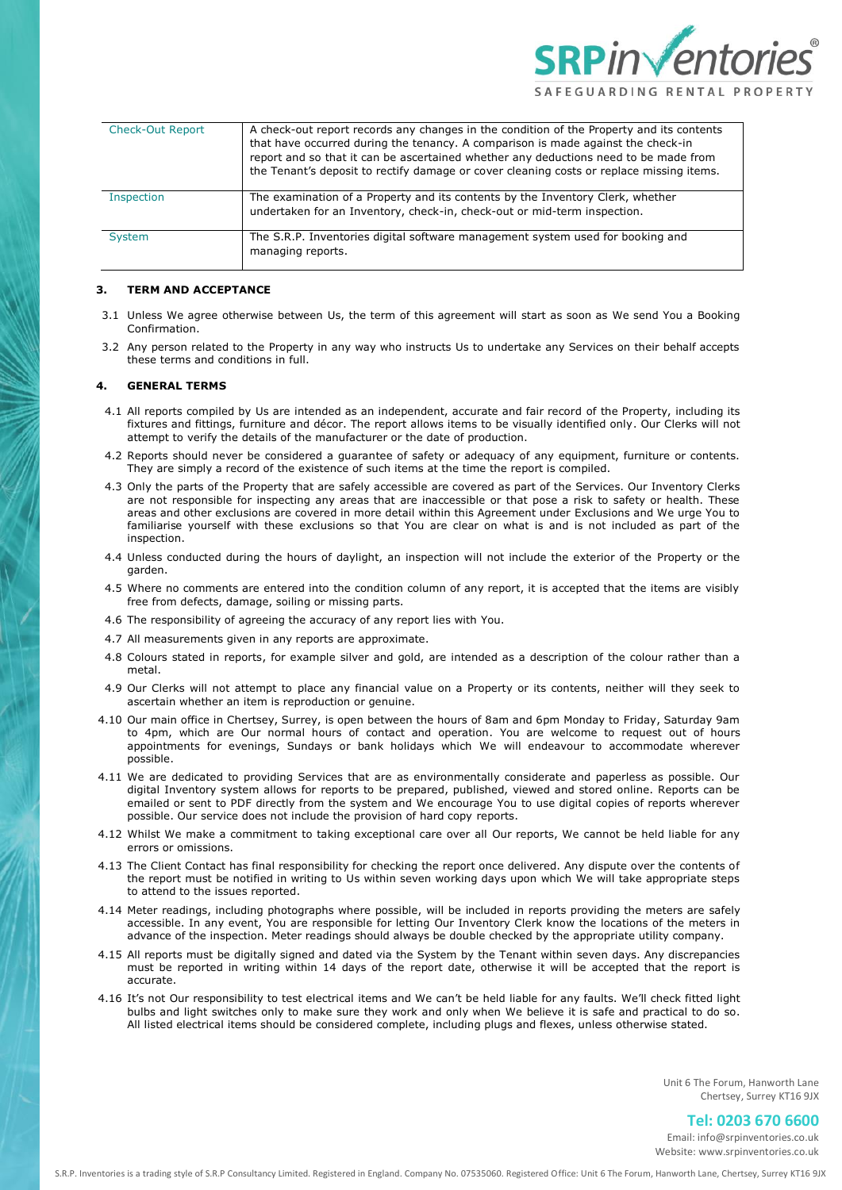

| <b>Check-Out Report</b> | A check-out report records any changes in the condition of the Property and its contents<br>that have occurred during the tenancy. A comparison is made against the check-in<br>report and so that it can be ascertained whether any deductions need to be made from<br>the Tenant's deposit to rectify damage or cover cleaning costs or replace missing items. |
|-------------------------|------------------------------------------------------------------------------------------------------------------------------------------------------------------------------------------------------------------------------------------------------------------------------------------------------------------------------------------------------------------|
| <b>Inspection</b>       | The examination of a Property and its contents by the Inventory Clerk, whether<br>undertaken for an Inventory, check-in, check-out or mid-term inspection.                                                                                                                                                                                                       |
| System                  | The S.R.P. Inventories digital software management system used for booking and<br>managing reports.                                                                                                                                                                                                                                                              |

## **3. TERM AND ACCEPTANCE**

- 3.1 Unless We agree otherwise between Us, the term of this agreement will start as soon as We send You a Booking Confirmation.
- 3.2 Any person related to the Property in any way who instructs Us to undertake any Services on their behalf accepts these terms and conditions in full.

## **4. GENERAL TERMS**

- 4.1 All reports compiled by Us are intended as an independent, accurate and fair record of the Property, including its fixtures and fittings, furniture and décor. The report allows items to be visually identified only. Our Clerks will not attempt to verify the details of the manufacturer or the date of production.
- 4.2 Reports should never be considered a guarantee of safety or adequacy of any equipment, furniture or contents. They are simply a record of the existence of such items at the time the report is compiled.
- 4.3 Only the parts of the Property that are safely accessible are covered as part of the Services. Our Inventory Clerks are not responsible for inspecting any areas that are inaccessible or that pose a risk to safety or health. These areas and other exclusions are covered in more detail within this Agreement under Exclusions and We urge You to familiarise yourself with these exclusions so that You are clear on what is and is not included as part of the inspection.
- 4.4 Unless conducted during the hours of daylight, an inspection will not include the exterior of the Property or the garden.
- 4.5 Where no comments are entered into the condition column of any report, it is accepted that the items are visibly free from defects, damage, soiling or missing parts.
- 4.6 The responsibility of agreeing the accuracy of any report lies with You.
- 4.7 All measurements given in any reports are approximate.
- 4.8 Colours stated in reports, for example silver and gold, are intended as a description of the colour rather than a metal.
- 4.9 Our Clerks will not attempt to place any financial value on a Property or its contents, neither will they seek to ascertain whether an item is reproduction or genuine.
- 4.10 Our main office in Chertsey, Surrey, is open between the hours of 8am and 6pm Monday to Friday, Saturday 9am to 4pm, which are Our normal hours of contact and operation. You are welcome to request out of hours appointments for evenings, Sundays or bank holidays which We will endeavour to accommodate wherever possible.
- 4.11 We are dedicated to providing Services that are as environmentally considerate and paperless as possible. Our digital Inventory system allows for reports to be prepared, published, viewed and stored online. Reports can be emailed or sent to PDF directly from the system and We encourage You to use digital copies of reports wherever possible. Our service does not include the provision of hard copy reports.
- 4.12 Whilst We make a commitment to taking exceptional care over all Our reports, We cannot be held liable for any errors or omissions.
- 4.13 The Client Contact has final responsibility for checking the report once delivered. Any dispute over the contents of the report must be notified in writing to Us within seven working days upon which We will take appropriate steps to attend to the issues reported.
- 4.14 Meter readings, including photographs where possible, will be included in reports providing the meters are safely accessible. In any event, You are responsible for letting Our Inventory Clerk know the locations of the meters in advance of the inspection. Meter readings should always be double checked by the appropriate utility company.
- 4.15 All reports must be digitally signed and dated via the System by the Tenant within seven days. Any discrepancies must be reported in writing within 14 days of the report date, otherwise it will be accepted that the report is accurate.
- 4.16 It's not Our responsibility to test electrical items and We can't be held liable for any faults. We'll check fitted light bulbs and light switches only to make sure they work and only when We believe it is safe and practical to do so. All listed electrical items should be considered complete, including plugs and flexes, unless otherwise stated.

Unit 6 The Forum, Hanworth Lane Chertsey, Surrey KT16 9JX

# **Tel: 0203 670 6600**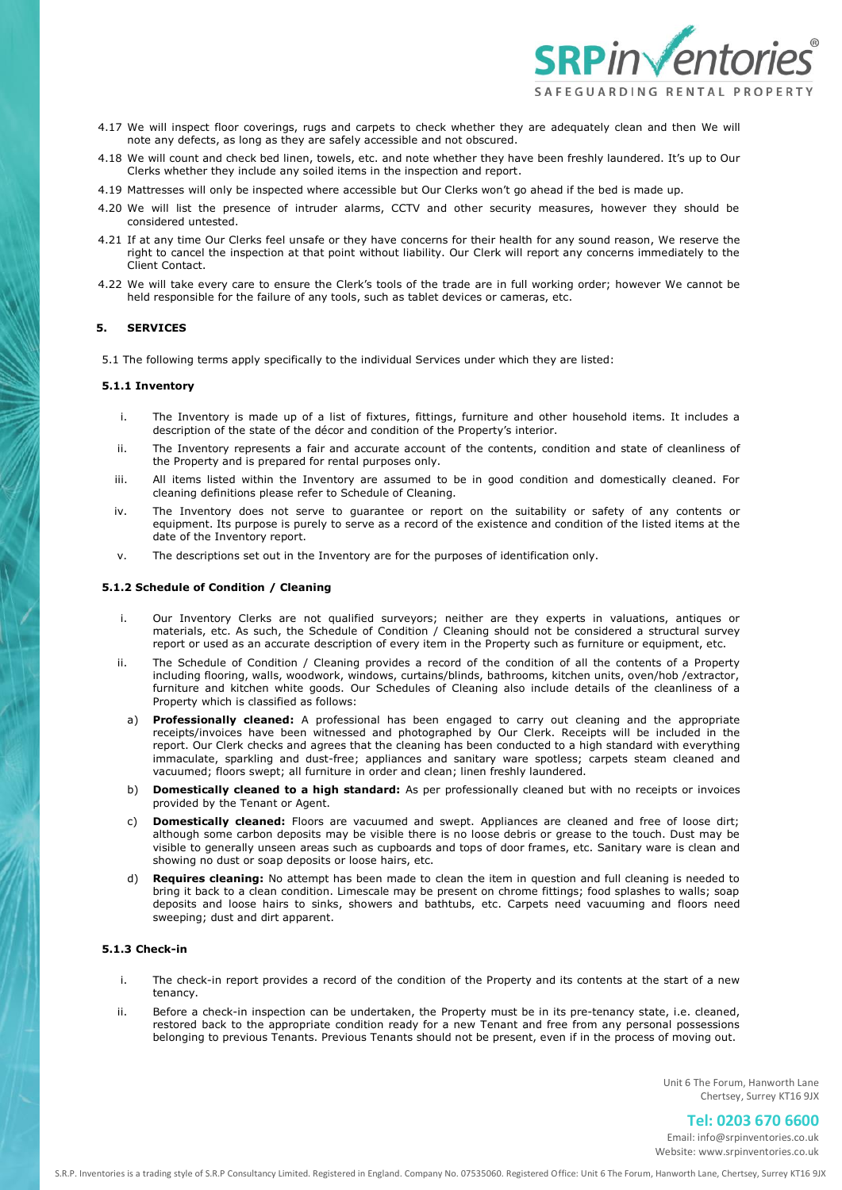

- 4.17 We will inspect floor coverings, rugs and carpets to check whether they are adequately clean and then We will note any defects, as long as they are safely accessible and not obscured.
- 4.18 We will count and check bed linen, towels, etc. and note whether they have been freshly laundered. It's up to Our Clerks whether they include any soiled items in the inspection and report.
- 4.19 Mattresses will only be inspected where accessible but Our Clerks won't go ahead if the bed is made up.
- 4.20 We will list the presence of intruder alarms, CCTV and other security measures, however they should be considered untested.
- 4.21 If at any time Our Clerks feel unsafe or they have concerns for their health for any sound reason, We reserve the right to cancel the inspection at that point without liability. Our Clerk will report any concerns immediately to the Client Contact.
- 4.22 We will take every care to ensure the Clerk's tools of the trade are in full working order; however We cannot be held responsible for the failure of any tools, such as tablet devices or cameras, etc.

## **5. SERVICES**

5.1 The following terms apply specifically to the individual Services under which they are listed:

#### **5.1.1 Inventory**

- i. The Inventory is made up of a list of fixtures, fittings, furniture and other household items. It includes a description of the state of the décor and condition of the Property's interior.
- ii. The Inventory represents a fair and accurate account of the contents, condition and state of cleanliness of the Property and is prepared for rental purposes only.
- iii. All items listed within the Inventory are assumed to be in good condition and domestically cleaned. For cleaning definitions please refer to Schedule of Cleaning.
- iv. The Inventory does not serve to guarantee or report on the suitability or safety of any contents or equipment. Its purpose is purely to serve as a record of the existence and condition of the listed items at the date of the Inventory report.
- v. The descriptions set out in the Inventory are for the purposes of identification only.

## **5.1.2 Schedule of Condition / Cleaning**

- i. Our Inventory Clerks are not qualified surveyors; neither are they experts in valuations, antiques or materials, etc. As such, the Schedule of Condition / Cleaning should not be considered a structural survey report or used as an accurate description of every item in the Property such as furniture or equipment, etc.
- ii. The Schedule of Condition / Cleaning provides a record of the condition of all the contents of a Property including flooring, walls, woodwork, windows, curtains/blinds, bathrooms, kitchen units, oven/hob /extractor, furniture and kitchen white goods. Our Schedules of Cleaning also include details of the cleanliness of a Property which is classified as follows:
- a) **Professionally cleaned:** A professional has been engaged to carry out cleaning and the appropriate receipts/invoices have been witnessed and photographed by Our Clerk. Receipts will be included in the report. Our Clerk checks and agrees that the cleaning has been conducted to a high standard with everything immaculate, sparkling and dust-free; appliances and sanitary ware spotless; carpets steam cleaned and vacuumed; floors swept; all furniture in order and clean; linen freshly laundered.
- b) **Domestically cleaned to a high standard:** As per professionally cleaned but with no receipts or invoices provided by the Tenant or Agent.
- c) **Domestically cleaned:** Floors are vacuumed and swept. Appliances are cleaned and free of loose dirt; although some carbon deposits may be visible there is no loose debris or grease to the touch. Dust may be visible to generally unseen areas such as cupboards and tops of door frames, etc. Sanitary ware is clean and showing no dust or soap deposits or loose hairs, etc.
- d) **Requires cleaning:** No attempt has been made to clean the item in question and full cleaning is needed to bring it back to a clean condition. Limescale may be present on chrome fittings; food splashes to walls; soap deposits and loose hairs to sinks, showers and bathtubs, etc. Carpets need vacuuming and floors need sweeping; dust and dirt apparent.

# **5.1.3 Check-in**

- i. The check-in report provides a record of the condition of the Property and its contents at the start of a new tenancy.
- ii. Before a check-in inspection can be undertaken, the Property must be in its pre-tenancy state, i.e. cleaned, restored back to the appropriate condition ready for a new Tenant and free from any personal possessions belonging to previous Tenants. Previous Tenants should not be present, even if in the process of moving out.

Unit 6 The Forum, Hanworth Lane Chertsey, Surrey KT16 9JX

# **Tel: 0203 670 6600**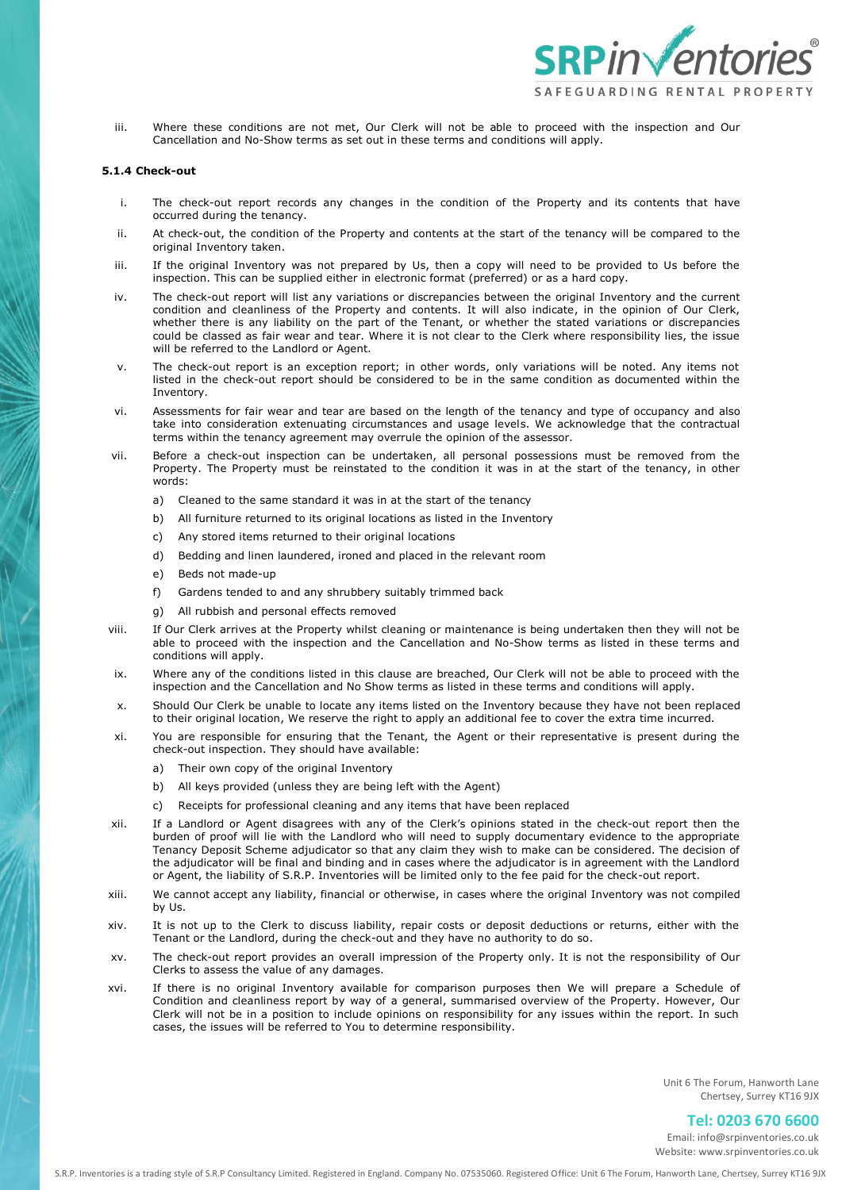

iii. Where these conditions are not met, Our Clerk will not be able to proceed with the inspection and Our Cancellation and No-Show terms as set out in these terms and conditions will apply.

## **5.1.4 Check-out**

- i. The check-out report records any changes in the condition of the Property and its contents that have occurred during the tenancy.
- ii. At check-out, the condition of the Property and contents at the start of the tenancy will be compared to the original Inventory taken.
- iii. If the original Inventory was not prepared by Us, then a copy will need to be provided to Us before the inspection. This can be supplied either in electronic format (preferred) or as a hard copy.
- iv. The check-out report will list any variations or discrepancies between the original Inventory and the current condition and cleanliness of the Property and contents. It will also indicate, in the opinion of Our Clerk, whether there is any liability on the part of the Tenant, or whether the stated variations or discrepancies could be classed as fair wear and tear. Where it is not clear to the Clerk where responsibility lies, the issue will be referred to the Landlord or Agent.
- v. The check-out report is an exception report; in other words, only variations will be noted. Any items not listed in the check-out report should be considered to be in the same condition as documented within the Inventory.
- vi. Assessments for fair wear and tear are based on the length of the tenancy and type of occupancy and also take into consideration extenuating circumstances and usage levels. We acknowledge that the contractual terms within the tenancy agreement may overrule the opinion of the assessor.
- vii. Before a check-out inspection can be undertaken, all personal possessions must be removed from the Property. The Property must be reinstated to the condition it was in at the start of the tenancy, in other words:
	- a) Cleaned to the same standard it was in at the start of the tenancy
	- b) All furniture returned to its original locations as listed in the Inventory
	- c) Any stored items returned to their original locations
	- d) Bedding and linen laundered, ironed and placed in the relevant room
	- e) Beds not made-up
	- f) Gardens tended to and any shrubbery suitably trimmed back
	- g) All rubbish and personal effects removed
- viii. If Our Clerk arrives at the Property whilst cleaning or maintenance is being undertaken then they will not be able to proceed with the inspection and the Cancellation and No-Show terms as listed in these terms and conditions will apply.
- ix. Where any of the conditions listed in this clause are breached, Our Clerk will not be able to proceed with the inspection and the Cancellation and No Show terms as listed in these terms and conditions will apply.
- x. Should Our Clerk be unable to locate any items listed on the Inventory because they have not been replaced to their original location, We reserve the right to apply an additional fee to cover the extra time incurred.
- xi. You are responsible for ensuring that the Tenant, the Agent or their representative is present during the check-out inspection. They should have available:
	- a) Their own copy of the original Inventory
	- b) All keys provided (unless they are being left with the Agent)
	- c) Receipts for professional cleaning and any items that have been replaced
- xii. If a Landlord or Agent disagrees with any of the Clerk's opinions stated in the check-out report then the burden of proof will lie with the Landlord who will need to supply documentary evidence to the appropriate Tenancy Deposit Scheme adjudicator so that any claim they wish to make can be considered. The decision of the adjudicator will be final and binding and in cases where the adjudicator is in agreement with the Landlord or Agent, the liability of S.R.P. Inventories will be limited only to the fee paid for the check-out report.
- xiii. We cannot accept any liability, financial or otherwise, in cases where the original Inventory was not compiled by Us.
- xiv. It is not up to the Clerk to discuss liability, repair costs or deposit deductions or returns, either with the Tenant or the Landlord, during the check-out and they have no authority to do so.
- xv. The check-out report provides an overall impression of the Property only. It is not the responsibility of Our Clerks to assess the value of any damages.
- xvi. If there is no original Inventory available for comparison purposes then We will prepare a Schedule of Condition and cleanliness report by way of a general, summarised overview of the Property. However, Our Clerk will not be in a position to include opinions on responsibility for any issues within the report. In such cases, the issues will be referred to You to determine responsibility.

Unit 6 The Forum, Hanworth Lane Chertsey, Surrey KT16 9JX

# **Tel: 0203 670 6600**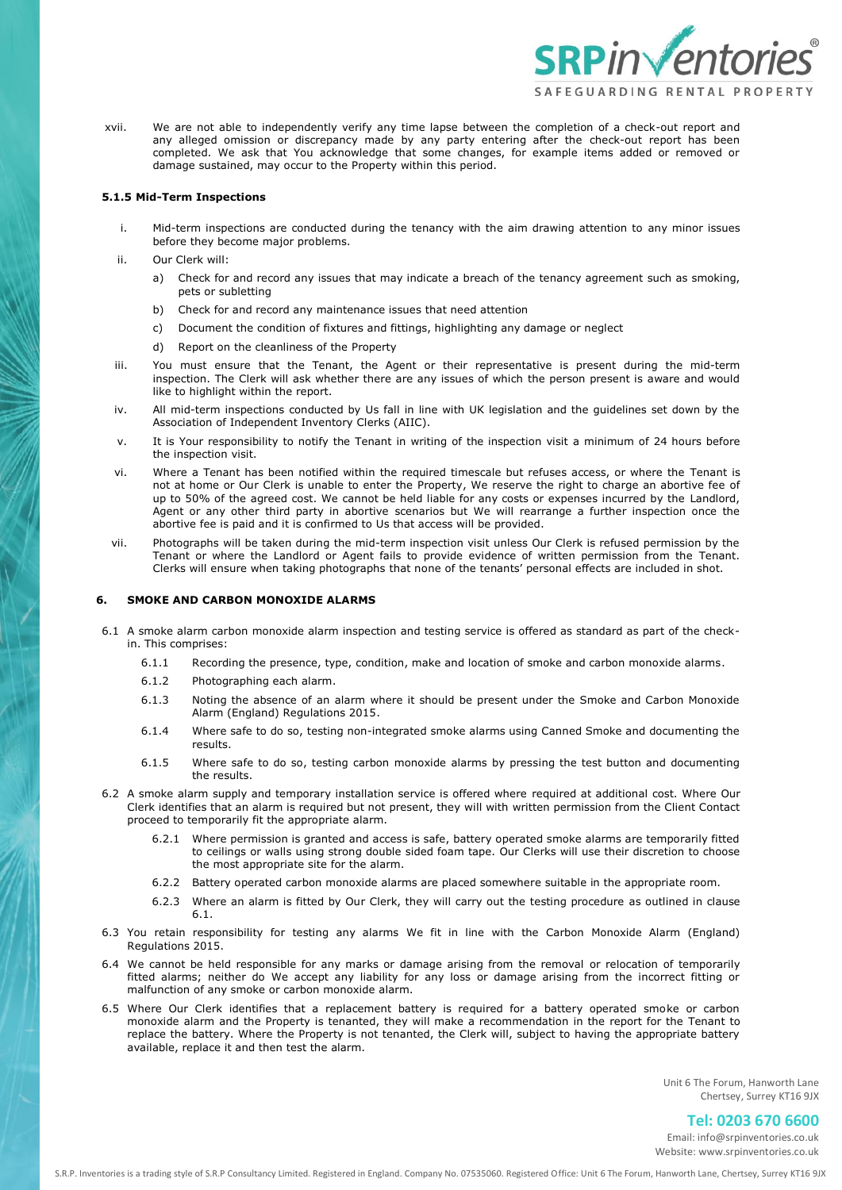

xvii. We are not able to independently verify any time lapse between the completion of a check-out report and any alleged omission or discrepancy made by any party entering after the check-out report has been completed. We ask that You acknowledge that some changes, for example items added or removed or damage sustained, may occur to the Property within this period.

### **5.1.5 Mid-Term Inspections**

- i. Mid-term inspections are conducted during the tenancy with the aim drawing attention to any minor issues before they become major problems.
- ii. Our Clerk will:
	- a) Check for and record any issues that may indicate a breach of the tenancy agreement such as smoking, pets or subletting
	- b) Check for and record any maintenance issues that need attention
	- c) Document the condition of fixtures and fittings, highlighting any damage or neglect
	- d) Report on the cleanliness of the Property
- iii. You must ensure that the Tenant, the Agent or their representative is present during the mid-term inspection. The Clerk will ask whether there are any issues of which the person present is aware and would like to highlight within the report.
- iv. All mid-term inspections conducted by Us fall in line with UK legislation and the guidelines set down by the Association of Independent Inventory Clerks (AIIC).
- v. It is Your responsibility to notify the Tenant in writing of the inspection visit a minimum of 24 hours before the inspection visit.
- vi. Where a Tenant has been notified within the required timescale but refuses access, or where the Tenant is not at home or Our Clerk is unable to enter the Property, We reserve the right to charge an abortive fee of up to 50% of the agreed cost. We cannot be held liable for any costs or expenses incurred by the Landlord, Agent or any other third party in abortive scenarios but We will rearrange a further inspection once the abortive fee is paid and it is confirmed to Us that access will be provided.
- vii. Photographs will be taken during the mid-term inspection visit unless Our Clerk is refused permission by the Tenant or where the Landlord or Agent fails to provide evidence of written permission from the Tenant. Clerks will ensure when taking photographs that none of the tenants' personal effects are included in shot.

# **6. SMOKE AND CARBON MONOXIDE ALARMS**

- 6.1 A smoke alarm carbon monoxide alarm inspection and testing service is offered as standard as part of the checkin. This comprises:
	- 6.1.1 Recording the presence, type, condition, make and location of smoke and carbon monoxide alarms.
	- 6.1.2 Photographing each alarm.
	- 6.1.3 Noting the absence of an alarm where it should be present under the Smoke and Carbon Monoxide Alarm (England) Regulations 2015.
	- 6.1.4 Where safe to do so, testing non-integrated smoke alarms using Canned Smoke and documenting the results.
	- 6.1.5 Where safe to do so, testing carbon monoxide alarms by pressing the test button and documenting the results.
- 6.2 A smoke alarm supply and temporary installation service is offered where required at additional cost. Where Our Clerk identifies that an alarm is required but not present, they will with written permission from the Client Contact proceed to temporarily fit the appropriate alarm.
	- 6.2.1 Where permission is granted and access is safe, battery operated smoke alarms are temporarily fitted to ceilings or walls using strong double sided foam tape. Our Clerks will use their discretion to choose the most appropriate site for the alarm.
	- 6.2.2 Battery operated carbon monoxide alarms are placed somewhere suitable in the appropriate room.
	- 6.2.3 Where an alarm is fitted by Our Clerk, they will carry out the testing procedure as outlined in clause 6.1.
- 6.3 You retain responsibility for testing any alarms We fit in line with the Carbon Monoxide Alarm (England) Regulations 2015.
- 6.4 We cannot be held responsible for any marks or damage arising from the removal or relocation of temporarily fitted alarms; neither do We accept any liability for any loss or damage arising from the incorrect fitting or malfunction of any smoke or carbon monoxide alarm.
- 6.5 Where Our Clerk identifies that a replacement battery is required for a battery operated smoke or carbon monoxide alarm and the Property is tenanted, they will make a recommendation in the report for the Tenant to replace the battery. Where the Property is not tenanted, the Clerk will, subject to having the appropriate battery available, replace it and then test the alarm.

Unit 6 The Forum, Hanworth Lane Chertsey, Surrey KT16 9JX

# **Tel: 0203 670 6600**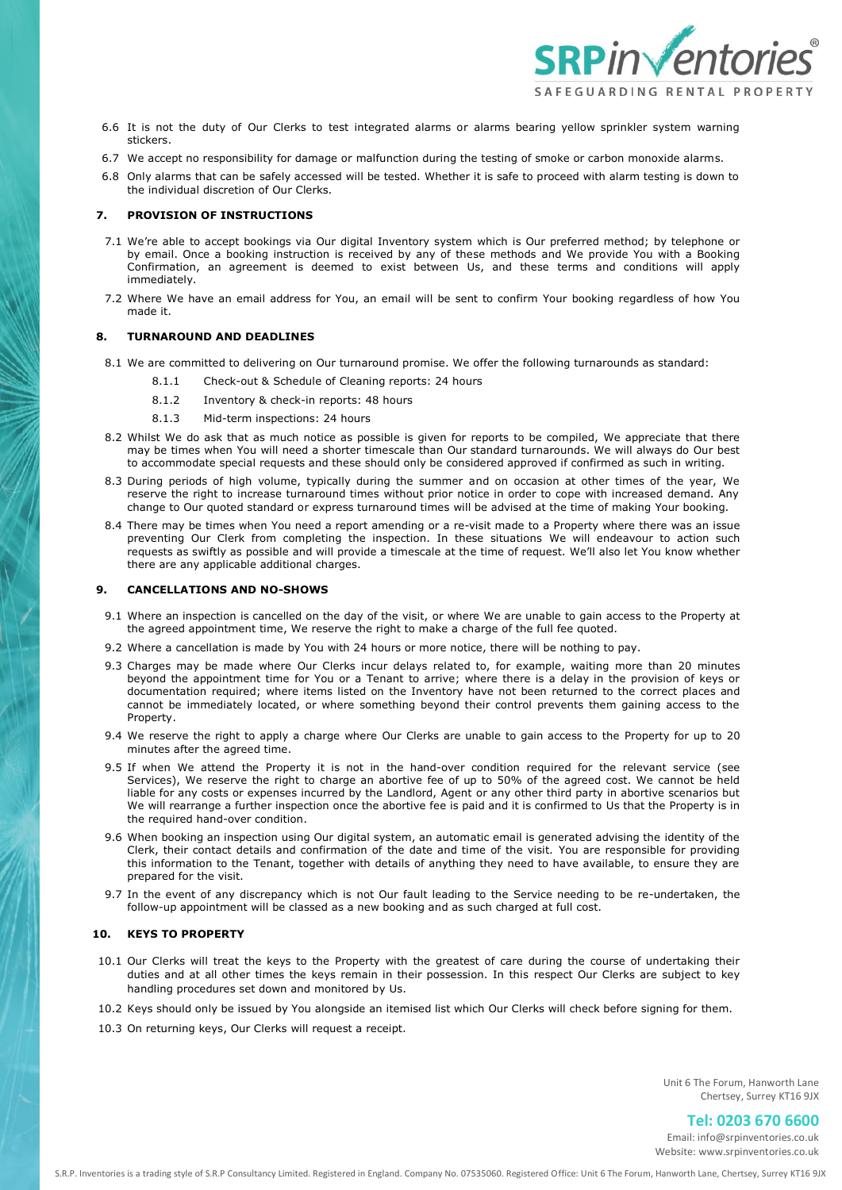

- 6.6 It is not the duty of Our Clerks to test integrated alarms or alarms bearing yellow sprinkler system warning stickers.
- 6.7 We accept no responsibility for damage or malfunction during the testing of smoke or carbon monoxide alarms.
- 6.8 Only alarms that can be safely accessed will be tested. Whether it is safe to proceed with alarm testing is down to the individual discretion of Our Clerks.

# **7. PROVISION OF INSTRUCTIONS**

- 7.1 We're able to accept bookings via Our digital Inventory system which is Our preferred method; by telephone or by email. Once a booking instruction is received by any of these methods and We provide You with a Booking Confirmation, an agreement is deemed to exist between Us, and these terms and conditions will apply immediately.
- 7.2 Where We have an email address for You, an email will be sent to confirm Your booking regardless of how You made it.

## **8. TURNAROUND AND DEADLINES**

- 8.1 We are committed to delivering on Our turnaround promise. We offer the following turnarounds as standard:
	- 8.1.1 Check-out & Schedule of Cleaning reports: 24 hours
	- 8.1.2 Inventory & check-in reports: 48 hours
	- 8.1.3 Mid-term inspections: 24 hours
- 8.2 Whilst We do ask that as much notice as possible is given for reports to be compiled, We appreciate that there may be times when You will need a shorter timescale than Our standard turnarounds. We will always do Our best to accommodate special requests and these should only be considered approved if confirmed as such in writing.
- 8.3 During periods of high volume, typically during the summer and on occasion at other times of the year, We reserve the right to increase turnaround times without prior notice in order to cope with increased demand. Any change to Our quoted standard or express turnaround times will be advised at the time of making Your booking.
- 8.4 There may be times when You need a report amending or a re-visit made to a Property where there was an issue preventing Our Clerk from completing the inspection. In these situations We will endeavour to action such requests as swiftly as possible and will provide a timescale at the time of request. We'll also let You know whether there are any applicable additional charges.

#### **9. CANCELLATIONS AND NO-SHOWS**

- 9.1 Where an inspection is cancelled on the day of the visit, or where We are unable to gain access to the Property at the agreed appointment time, We reserve the right to make a charge of the full fee quoted.
- 9.2 Where a cancellation is made by You with 24 hours or more notice, there will be nothing to pay.
- 9.3 Charges may be made where Our Clerks incur delays related to, for example, waiting more than 20 minutes beyond the appointment time for You or a Tenant to arrive; where there is a delay in the provision of keys or documentation required; where items listed on the Inventory have not been returned to the correct places and cannot be immediately located, or where something beyond their control prevents them gaining access to the Property.
- 9.4 We reserve the right to apply a charge where Our Clerks are unable to gain access to the Property for up to 20 minutes after the agreed time.
- 9.5 If when We attend the Property it is not in the hand-over condition required for the relevant service (see Services), We reserve the right to charge an abortive fee of up to 50% of the agreed cost. We cannot be held liable for any costs or expenses incurred by the Landlord, Agent or any other third party in abortive scenarios but We will rearrange a further inspection once the abortive fee is paid and it is confirmed to Us that the Property is in the required hand-over condition.
- 9.6 When booking an inspection using Our digital system, an automatic email is generated advising the identity of the Clerk, their contact details and confirmation of the date and time of the visit. You are responsible for providing this information to the Tenant, together with details of anything they need to have available, to ensure they are prepared for the visit.
- 9.7 In the event of any discrepancy which is not Our fault leading to the Service needing to be re-undertaken, the follow-up appointment will be classed as a new booking and as such charged at full cost.

# **10. KEYS TO PROPERTY**

- 10.1 Our Clerks will treat the keys to the Property with the greatest of care during the course of undertaking their duties and at all other times the keys remain in their possession. In this respect Our Clerks are subject to key handling procedures set down and monitored by Us.
- 10.2 Keys should only be issued by You alongside an itemised list which Our Clerks will check before signing for them.
- 10.3 On returning keys, Our Clerks will request a receipt.

Unit 6 The Forum, Hanworth Lane Chertsey, Surrey KT16 9JX

**Tel: 0203 670 6600**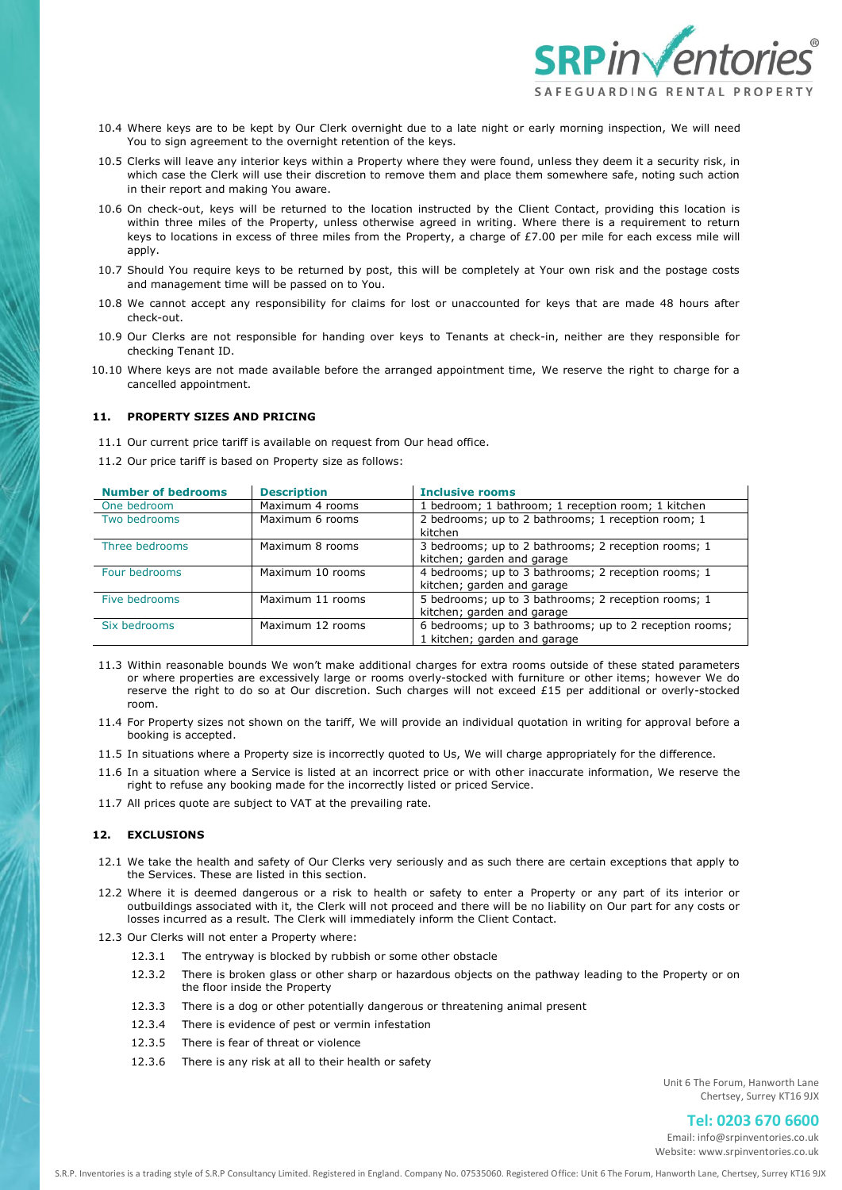

- 10.4 Where keys are to be kept by Our Clerk overnight due to a late night or early morning inspection, We will need You to sign agreement to the overnight retention of the keys.
- 10.5 Clerks will leave any interior keys within a Property where they were found, unless they deem it a security risk, in which case the Clerk will use their discretion to remove them and place them somewhere safe, noting such action in their report and making You aware.
- 10.6 On check-out, keys will be returned to the location instructed by the Client Contact, providing this location is within three miles of the Property, unless otherwise agreed in writing. Where there is a requirement to return keys to locations in excess of three miles from the Property, a charge of £7.00 per mile for each excess mile will apply.
- 10.7 Should You require keys to be returned by post, this will be completely at Your own risk and the postage costs and management time will be passed on to You.
- 10.8 We cannot accept any responsibility for claims for lost or unaccounted for keys that are made 48 hours after check-out.
- 10.9 Our Clerks are not responsible for handing over keys to Tenants at check-in, neither are they responsible for checking Tenant ID.
- 10.10 Where keys are not made available before the arranged appointment time, We reserve the right to charge for a cancelled appointment.

# **11. PROPERTY SIZES AND PRICING**

- 11.1 Our current price tariff is available on request from Our head office.
- 11.2 Our price tariff is based on Property size as follows:

| <b>Number of bedrooms</b> | <b>Description</b> | <b>Inclusive rooms</b>                                                                  |
|---------------------------|--------------------|-----------------------------------------------------------------------------------------|
| One bedroom               | Maximum 4 rooms    | 1 bedroom; 1 bathroom; 1 reception room; 1 kitchen                                      |
| Two bedrooms              | Maximum 6 rooms    | 2 bedrooms; up to 2 bathrooms; 1 reception room; 1<br>kitchen                           |
| Three bedrooms            | Maximum 8 rooms    | 3 bedrooms; up to 2 bathrooms; 2 reception rooms; 1<br>kitchen; garden and garage       |
| Four bedrooms             | Maximum 10 rooms   | 4 bedrooms; up to 3 bathrooms; 2 reception rooms; 1<br>kitchen; garden and garage       |
| Five bedrooms             | Maximum 11 rooms   | 5 bedrooms; up to 3 bathrooms; 2 reception rooms; 1<br>kitchen; garden and garage       |
| Six bedrooms              | Maximum 12 rooms   | 6 bedrooms; up to 3 bathrooms; up to 2 reception rooms;<br>1 kitchen; garden and garage |

- 11.3 Within reasonable bounds We won't make additional charges for extra rooms outside of these stated parameters or where properties are excessively large or rooms overly-stocked with furniture or other items; however We do reserve the right to do so at Our discretion. Such charges will not exceed £15 per additional or overly-stocked room.
- 11.4 For Property sizes not shown on the tariff, We will provide an individual quotation in writing for approval before a booking is accepted.
- 11.5 In situations where a Property size is incorrectly quoted to Us, We will charge appropriately for the difference.
- 11.6 In a situation where a Service is listed at an incorrect price or with other inaccurate information, We reserve the right to refuse any booking made for the incorrectly listed or priced Service.
- 11.7 All prices quote are subject to VAT at the prevailing rate.

# **12. EXCLUSIONS**

- 12.1 We take the health and safety of Our Clerks very seriously and as such there are certain exceptions that apply to the Services. These are listed in this section.
- 12.2 Where it is deemed dangerous or a risk to health or safety to enter a Property or any part of its interior or outbuildings associated with it, the Clerk will not proceed and there will be no liability on Our part for any costs or losses incurred as a result. The Clerk will immediately inform the Client Contact.
- 12.3 Our Clerks will not enter a Property where:
	- 12.3.1 The entryway is blocked by rubbish or some other obstacle
	- 12.3.2 There is broken glass or other sharp or hazardous objects on the pathway leading to the Property or on the floor inside the Property
	- 12.3.3 There is a dog or other potentially dangerous or threatening animal present
	- 12.3.4 There is evidence of pest or vermin infestation
	- 12.3.5 There is fear of threat or violence
	- 12.3.6 There is any risk at all to their health or safety

Unit 6 The Forum, Hanworth Lane Chertsey, Surrey KT16 9JX

# **Tel: 0203 670 6600**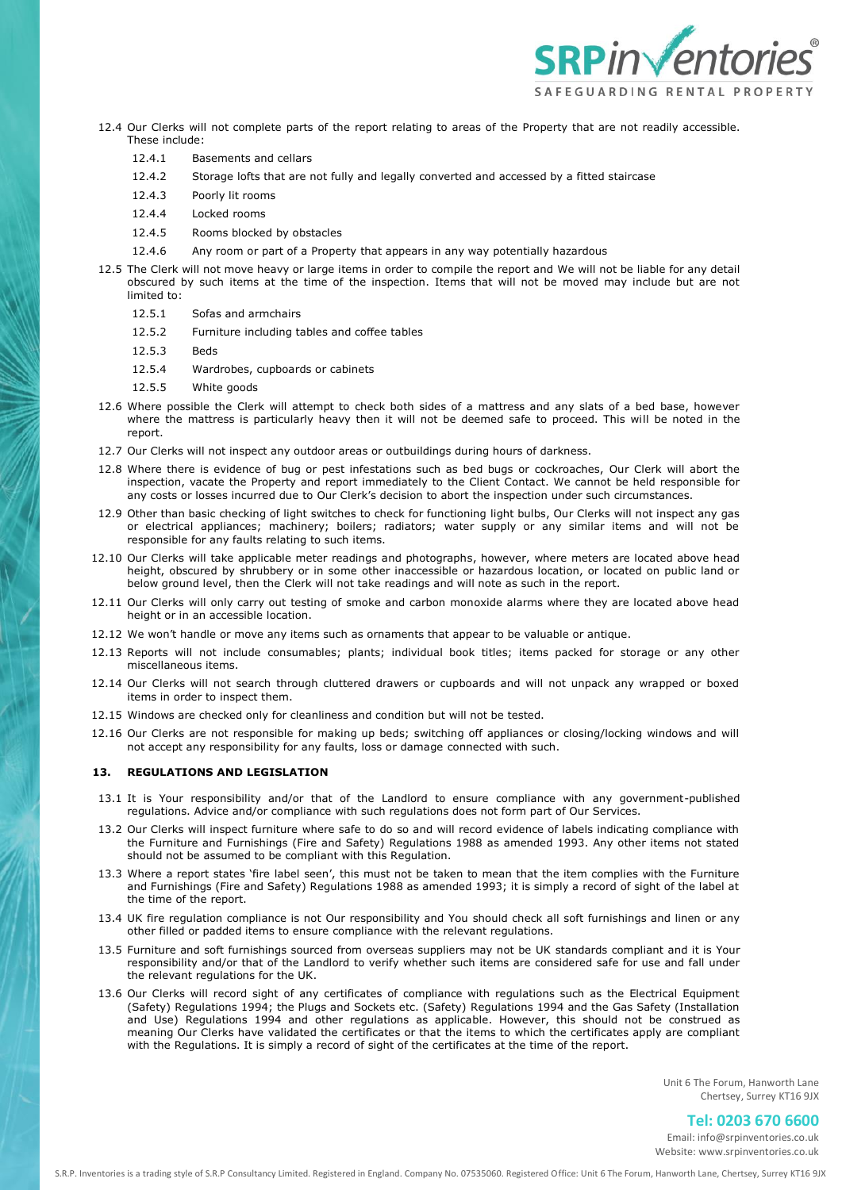

- 12.4 Our Clerks will not complete parts of the report relating to areas of the Property that are not readily accessible. These include:
	- 12.4.1 Basements and cellars
	- 12.4.2 Storage lofts that are not fully and legally converted and accessed by a fitted staircase
	- 12.4.3 Poorly lit rooms
	- 12.4.4 Locked rooms
	- 12.4.5 Rooms blocked by obstacles
	- 12.4.6 Any room or part of a Property that appears in any way potentially hazardous
- 12.5 The Clerk will not move heavy or large items in order to compile the report and We will not be liable for any detail obscured by such items at the time of the inspection. Items that will not be moved may include but are not limited to:
	- 12.5.1 Sofas and armchairs
	- 12.5.2 Furniture including tables and coffee tables
	- 12.5.3 Beds
	- 12.5.4 Wardrobes, cupboards or cabinets
	- 12.5.5 White goods
- 12.6 Where possible the Clerk will attempt to check both sides of a mattress and any slats of a bed base, however where the mattress is particularly heavy then it will not be deemed safe to proceed. This will be noted in the report.
- 12.7 Our Clerks will not inspect any outdoor areas or outbuildings during hours of darkness.
- 12.8 Where there is evidence of bug or pest infestations such as bed bugs or cockroaches, Our Clerk will abort the inspection, vacate the Property and report immediately to the Client Contact. We cannot be held responsible for any costs or losses incurred due to Our Clerk's decision to abort the inspection under such circumstances.
- 12.9 Other than basic checking of light switches to check for functioning light bulbs, Our Clerks will not inspect any gas or electrical appliances; machinery; boilers; radiators; water supply or any similar items and will not be responsible for any faults relating to such items.
- 12.10 Our Clerks will take applicable meter readings and photographs, however, where meters are located above head height, obscured by shrubbery or in some other inaccessible or hazardous location, or located on public land or below ground level, then the Clerk will not take readings and will note as such in the report.
- 12.11 Our Clerks will only carry out testing of smoke and carbon monoxide alarms where they are located above head height or in an accessible location.
- 12.12 We won't handle or move any items such as ornaments that appear to be valuable or antique.
- 12.13 Reports will not include consumables; plants; individual book titles; items packed for storage or any other miscellaneous items.
- 12.14 Our Clerks will not search through cluttered drawers or cupboards and will not unpack any wrapped or boxed items in order to inspect them.
- 12.15 Windows are checked only for cleanliness and condition but will not be tested.
- 12.16 Our Clerks are not responsible for making up beds; switching off appliances or closing/locking windows and will not accept any responsibility for any faults, loss or damage connected with such.

### **13. REGULATIONS AND LEGISLATION**

- 13.1 It is Your responsibility and/or that of the Landlord to ensure compliance with any government-published regulations. Advice and/or compliance with such regulations does not form part of Our Services.
- 13.2 Our Clerks will inspect furniture where safe to do so and will record evidence of labels indicating compliance with the Furniture and Furnishings (Fire and Safety) Regulations 1988 as amended 1993. Any other items not stated should not be assumed to be compliant with this Regulation.
- 13.3 Where a report states 'fire label seen', this must not be taken to mean that the item complies with the Furniture and Furnishings (Fire and Safety) Regulations 1988 as amended 1993; it is simply a record of sight of the label at the time of the report.
- 13.4 UK fire regulation compliance is not Our responsibility and You should check all soft furnishings and linen or any other filled or padded items to ensure compliance with the relevant regulations.
- 13.5 Furniture and soft furnishings sourced from overseas suppliers may not be UK standards compliant and it is Your responsibility and/or that of the Landlord to verify whether such items are considered safe for use and fall under the relevant regulations for the UK.
- 13.6 Our Clerks will record sight of any certificates of compliance with regulations such as the Electrical Equipment (Safety) Regulations 1994; the Plugs and Sockets etc. (Safety) Regulations 1994 and the Gas Safety (Installation and Use) Regulations 1994 and other regulations as applicable. However, this should not be construed as meaning Our Clerks have validated the certificates or that the items to which the certificates apply are compliant with the Regulations. It is simply a record of sight of the certificates at the time of the report.

Unit 6 The Forum, Hanworth Lane Chertsey, Surrey KT16 9JX

# **Tel: 0203 670 6600**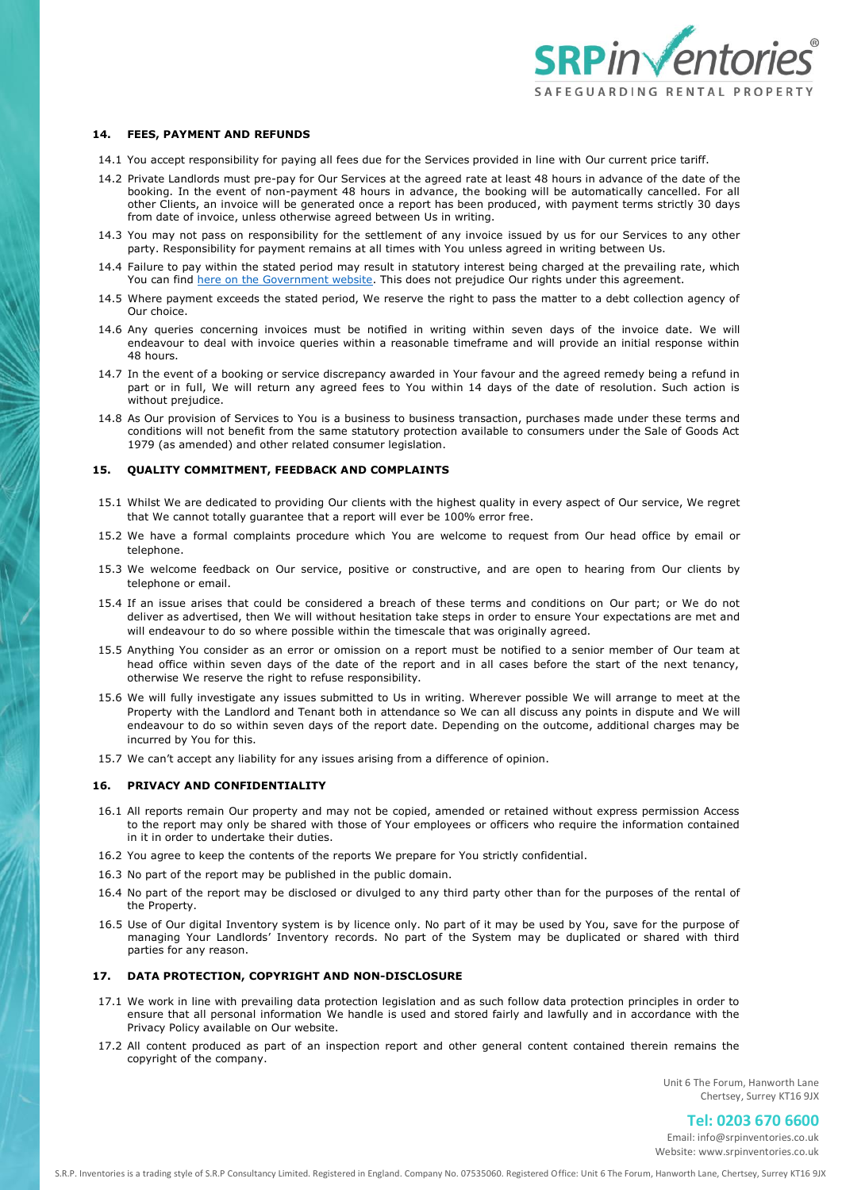

#### **14. FEES, PAYMENT AND REFUNDS**

- 14.1 You accept responsibility for paying all fees due for the Services provided in line with Our current price tariff.
- 14.2 Private Landlords must pre-pay for Our Services at the agreed rate at least 48 hours in advance of the date of the booking. In the event of non-payment 48 hours in advance, the booking will be automatically cancelled. For all other Clients, an invoice will be generated once a report has been produced, with payment terms strictly 30 days from date of invoice, unless otherwise agreed between Us in writing.
- 14.3 You may not pass on responsibility for the settlement of any invoice issued by us for our Services to any other party. Responsibility for payment remains at all times with You unless agreed in writing between Us.
- 14.4 Failure to pay within the stated period may result in statutory interest being charged at the prevailing rate, which You can find [here on the Government website.](https://www.gov.uk/late-commercial-payments-interest-debt-recovery/charging-interest-commercial-debt) This does not prejudice Our rights under this agreement.
- 14.5 Where payment exceeds the stated period, We reserve the right to pass the matter to a debt collection agency of Our choice.
- 14.6 Any queries concerning invoices must be notified in writing within seven days of the invoice date. We will endeavour to deal with invoice queries within a reasonable timeframe and will provide an initial response within 48 hours.
- 14.7 In the event of a booking or service discrepancy awarded in Your favour and the agreed remedy being a refund in part or in full, We will return any agreed fees to You within 14 days of the date of resolution. Such action is without prejudice.
- 14.8 As Our provision of Services to You is a business to business transaction, purchases made under these terms and conditions will not benefit from the same statutory protection available to consumers under the Sale of Goods Act 1979 (as amended) and other related consumer legislation.

## **15. QUALITY COMMITMENT, FEEDBACK AND COMPLAINTS**

- 15.1 Whilst We are dedicated to providing Our clients with the highest quality in every aspect of Our service, We regret that We cannot totally guarantee that a report will ever be 100% error free.
- 15.2 We have a formal complaints procedure which You are welcome to request from Our head office by email or telephone.
- 15.3 We welcome feedback on Our service, positive or constructive, and are open to hearing from Our clients by telephone or email.
- 15.4 If an issue arises that could be considered a breach of these terms and conditions on Our part; or We do not deliver as advertised, then We will without hesitation take steps in order to ensure Your expectations are met and will endeavour to do so where possible within the timescale that was originally agreed.
- 15.5 Anything You consider as an error or omission on a report must be notified to a senior member of Our team at head office within seven days of the date of the report and in all cases before the start of the next tenancy, otherwise We reserve the right to refuse responsibility.
- 15.6 We will fully investigate any issues submitted to Us in writing. Wherever possible We will arrange to meet at the Property with the Landlord and Tenant both in attendance so We can all discuss any points in dispute and We will endeavour to do so within seven days of the report date. Depending on the outcome, additional charges may be incurred by You for this.
- 15.7 We can't accept any liability for any issues arising from a difference of opinion.

### **16. PRIVACY AND CONFIDENTIALITY**

- 16.1 All reports remain Our property and may not be copied, amended or retained without express permission Access to the report may only be shared with those of Your employees or officers who require the information contained in it in order to undertake their duties.
- 16.2 You agree to keep the contents of the reports We prepare for You strictly confidential.
- 16.3 No part of the report may be published in the public domain.
- 16.4 No part of the report may be disclosed or divulged to any third party other than for the purposes of the rental of the Property.
- 16.5 Use of Our digital Inventory system is by licence only. No part of it may be used by You, save for the purpose of managing Your Landlords' Inventory records. No part of the System may be duplicated or shared with third parties for any reason.

## **17. DATA PROTECTION, COPYRIGHT AND NON-DISCLOSURE**

- 17.1 We work in line with prevailing data protection legislation and as such follow data protection principles in order to ensure that all personal information We handle is used and stored fairly and lawfully and in accordance with the Privacy Policy available on Our website.
- 17.2 All content produced as part of an inspection report and other general content contained therein remains the copyright of the company.

Unit 6 The Forum, Hanworth Lane Chertsey, Surrey KT16 9JX

# **Tel: 0203 670 6600**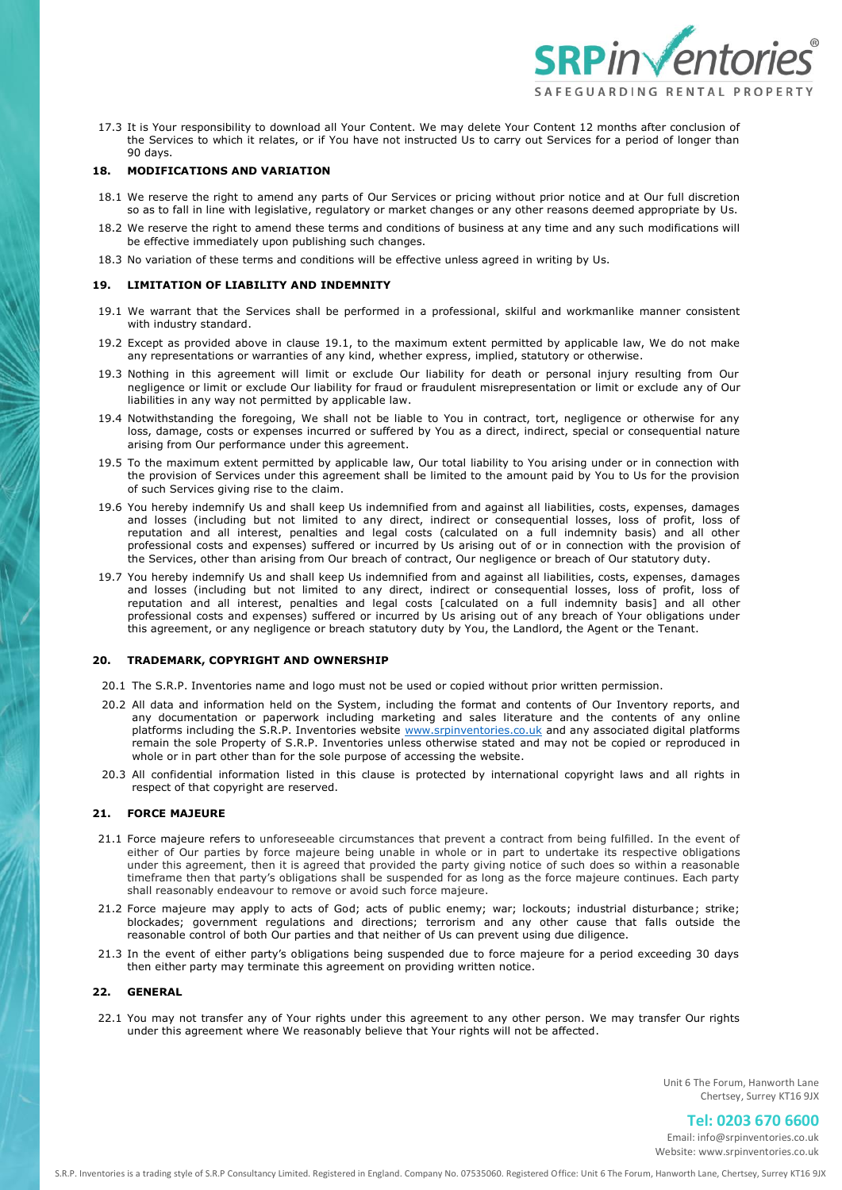

17.3 It is Your responsibility to download all Your Content. We may delete Your Content 12 months after conclusion of the Services to which it relates, or if You have not instructed Us to carry out Services for a period of longer than 90 days.

## **18. MODIFICATIONS AND VARIATION**

- 18.1 We reserve the right to amend any parts of Our Services or pricing without prior notice and at Our full discretion so as to fall in line with legislative, regulatory or market changes or any other reasons deemed appropriate by Us.
- 18.2 We reserve the right to amend these terms and conditions of business at any time and any such modifications will be effective immediately upon publishing such changes.
- 18.3 No variation of these terms and conditions will be effective unless agreed in writing by Us.

## **19. LIMITATION OF LIABILITY AND INDEMNITY**

- 19.1 We warrant that the Services shall be performed in a professional, skilful and workmanlike manner consistent with industry standard.
- 19.2 Except as provided above in clause 19.1, to the maximum extent permitted by applicable law, We do not make any representations or warranties of any kind, whether express, implied, statutory or otherwise.
- 19.3 Nothing in this agreement will limit or exclude Our liability for death or personal injury resulting from Our negligence or limit or exclude Our liability for fraud or fraudulent misrepresentation or limit or exclude any of Our liabilities in any way not permitted by applicable law.
- 19.4 Notwithstanding the foregoing, We shall not be liable to You in contract, tort, negligence or otherwise for any loss, damage, costs or expenses incurred or suffered by You as a direct, indirect, special or consequential nature arising from Our performance under this agreement.
- 19.5 To the maximum extent permitted by applicable law, Our total liability to You arising under or in connection with the provision of Services under this agreement shall be limited to the amount paid by You to Us for the provision of such Services giving rise to the claim.
- 19.6 You hereby indemnify Us and shall keep Us indemnified from and against all liabilities, costs, expenses, damages and losses (including but not limited to any direct, indirect or consequential losses, loss of profit, loss of reputation and all interest, penalties and legal costs (calculated on a full indemnity basis) and all other professional costs and expenses) suffered or incurred by Us arising out of or in connection with the provision of the Services, other than arising from Our breach of contract, Our negligence or breach of Our statutory duty.
- 19.7 You hereby indemnify Us and shall keep Us indemnified from and against all liabilities, costs, expenses, damages and losses (including but not limited to any direct, indirect or consequential losses, loss of profit, loss of reputation and all interest, penalties and legal costs [calculated on a full indemnity basis] and all other professional costs and expenses) suffered or incurred by Us arising out of any breach of Your obligations under this agreement, or any negligence or breach statutory duty by You, the Landlord, the Agent or the Tenant.

## **20. TRADEMARK, COPYRIGHT AND OWNERSHIP**

- 20.1 The S.R.P. Inventories name and logo must not be used or copied without prior written permission.
- 20.2 All data and information held on the System, including the format and contents of Our Inventory reports, and any documentation or paperwork including marketing and sales literature and the contents of any online platforms including the S.R.P. Inventories website [www.srpinventories.co.uk](http://www.srpinventories.co.uk/) and any associated digital platforms remain the sole Property of S.R.P. Inventories unless otherwise stated and may not be copied or reproduced in whole or in part other than for the sole purpose of accessing the website.
- 20.3 All confidential information listed in this clause is protected by international copyright laws and all rights in respect of that copyright are reserved.

# **21. FORCE MAJEURE**

- 21.1 Force majeure refers to unforeseeable circumstances that prevent a contract from being fulfilled. In the event of either of Our parties by force majeure being unable in whole or in part to undertake its respective obligations under this agreement, then it is agreed that provided the party giving notice of such does so within a reasonable timeframe then that party's obligations shall be suspended for as long as the force majeure continues. Each party shall reasonably endeavour to remove or avoid such force majeure.
- 21.2 Force majeure may apply to acts of God; acts of public enemy; war; lockouts; industrial disturbance; strike; blockades; government regulations and directions; terrorism and any other cause that falls outside the reasonable control of both Our parties and that neither of Us can prevent using due diligence.
- 21.3 In the event of either party's obligations being suspended due to force majeure for a period exceeding 30 days then either party may terminate this agreement on providing written notice.

## **22. GENERAL**

22.1 You may not transfer any of Your rights under this agreement to any other person. We may transfer Our rights under this agreement where We reasonably believe that Your rights will not be affected.

> Unit 6 The Forum, Hanworth Lane Chertsey, Surrey KT16 9JX

> > **Tel: 0203 670 6600**